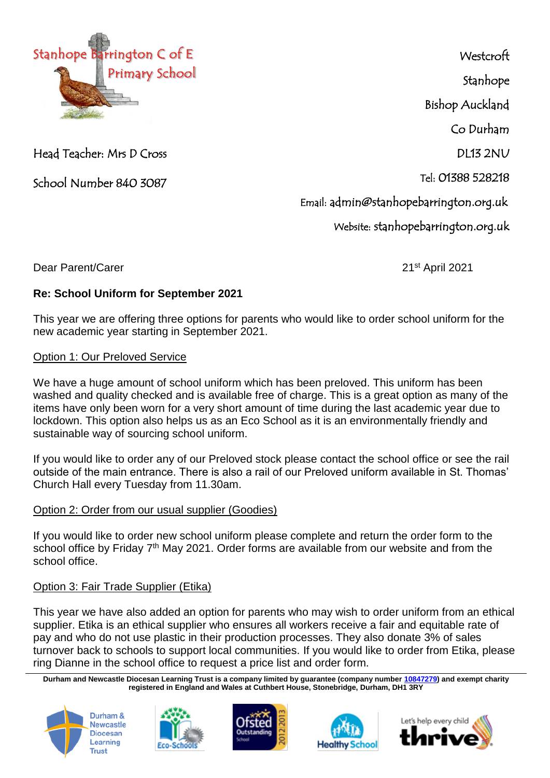

Head Teacher: Mrs D Cross

School Number 840 3087

**Westcroft** Stanhope Bishop Auckland Co Durham DL13 2NU Tel: 01388 528218 Email: admin@stanhopebarrington.org.uk Website: stanhopebarrington.org.uk

Dear Parent/Carer 2021 and 2021

## **Re: School Uniform for September 2021**

This year we are offering three options for parents who would like to order school uniform for the new academic year starting in September 2021.

## Option 1: Our Preloved Service

We have a huge amount of school uniform which has been preloved. This uniform has been washed and quality checked and is available free of charge. This is a great option as many of the items have only been worn for a very short amount of time during the last academic year due to lockdown. This option also helps us as an Eco School as it is an environmentally friendly and sustainable way of sourcing school uniform.

If you would like to order any of our Preloved stock please contact the school office or see the rail outside of the main entrance. There is also a rail of our Preloved uniform available in St. Thomas' Church Hall every Tuesday from 11.30am.

## Option 2: Order from our usual supplier (Goodies)

If you would like to order new school uniform please complete and return the order form to the school office by Friday 7<sup>th</sup> May 2021. Order forms are available from our website and from the school office.

## Option 3: Fair Trade Supplier (Etika)

This year we have also added an option for parents who may wish to order uniform from an ethical supplier. Etika is an ethical supplier who ensures all workers receive a fair and equitable rate of pay and who do not use plastic in their production processes. They also donate 3% of sales turnover back to schools to support local communities. If you would like to order from Etika, please ring Dianne in the school office to request a price list and order form.

**Durham and Newcastle Diocesan Learning Trust is a company limited by guarantee (company number [10847279\)](tel:10847279) and exempt charity registered in England and Wales at Cuthbert House, Stonebridge, Durham, DH1 3RY**